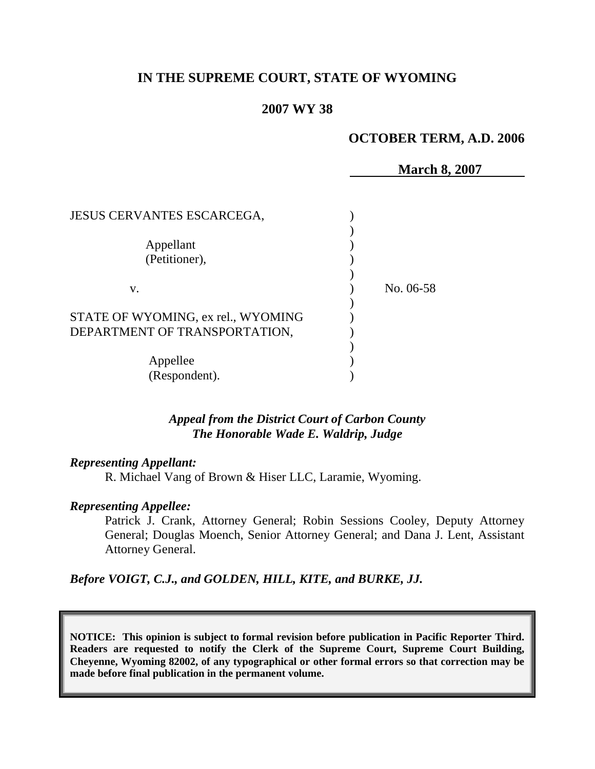# **IN THE SUPREME COURT, STATE OF WYOMING**

### **2007 WY 38**

#### **OCTOBER TERM, A.D. 2006**

|                                    | <b>March 8, 2007</b> |  |
|------------------------------------|----------------------|--|
|                                    |                      |  |
| <b>JESUS CERVANTES ESCARCEGA,</b>  |                      |  |
|                                    |                      |  |
| Appellant                          |                      |  |
| (Petitioner),                      |                      |  |
|                                    |                      |  |
| V.                                 | No. 06-58            |  |
|                                    |                      |  |
| STATE OF WYOMING, ex rel., WYOMING |                      |  |
| DEPARTMENT OF TRANSPORTATION,      |                      |  |
|                                    |                      |  |
| Appellee                           |                      |  |
| (Respondent).                      |                      |  |

*Appeal from the District Court of Carbon County The Honorable Wade E. Waldrip, Judge* 

#### *Representing Appellant:*

R. Michael Vang of Brown & Hiser LLC, Laramie, Wyoming.

#### *Representing Appellee:*

Patrick J. Crank, Attorney General; Robin Sessions Cooley, Deputy Attorney General; Douglas Moench, Senior Attorney General; and Dana J. Lent, Assistant Attorney General.

*Before VOIGT, C.J., and GOLDEN, HILL, KITE, and BURKE, JJ.*

**NOTICE: This opinion is subject to formal revision before publication in Pacific Reporter Third. Readers are requested to notify the Clerk of the Supreme Court, Supreme Court Building, Cheyenne, Wyoming 82002, of any typographical or other formal errors so that correction may be made before final publication in the permanent volume.**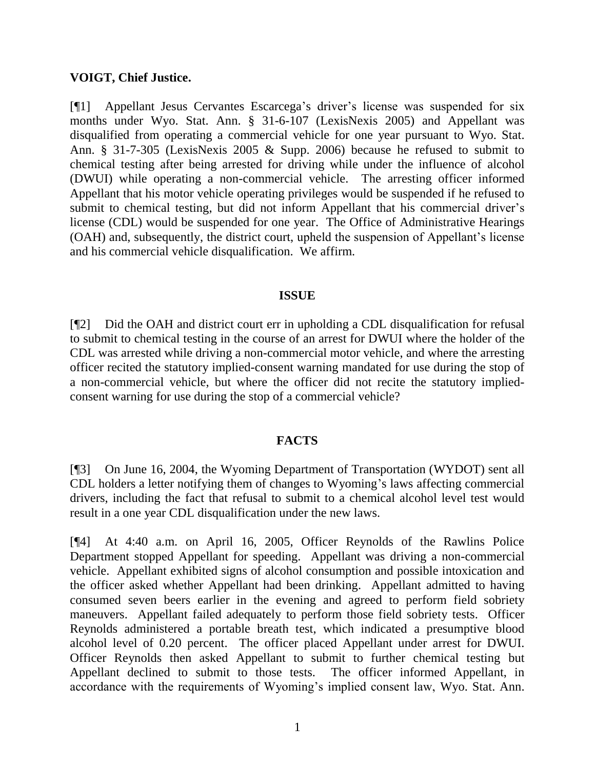## **VOIGT, Chief Justice.**

[¶1] Appellant Jesus Cervantes Escarcega's driver's license was suspended for six months under Wyo. Stat. Ann. § 31-6-107 (LexisNexis 2005) and Appellant was disqualified from operating a commercial vehicle for one year pursuant to Wyo. Stat. Ann. § 31-7-305 (LexisNexis 2005 & Supp. 2006) because he refused to submit to chemical testing after being arrested for driving while under the influence of alcohol (DWUI) while operating a non-commercial vehicle. The arresting officer informed Appellant that his motor vehicle operating privileges would be suspended if he refused to submit to chemical testing, but did not inform Appellant that his commercial driver's license (CDL) would be suspended for one year. The Office of Administrative Hearings (OAH) and, subsequently, the district court, upheld the suspension of Appellant's license and his commercial vehicle disqualification. We affirm.

## **ISSUE**

[¶2] Did the OAH and district court err in upholding a CDL disqualification for refusal to submit to chemical testing in the course of an arrest for DWUI where the holder of the CDL was arrested while driving a non-commercial motor vehicle, and where the arresting officer recited the statutory implied-consent warning mandated for use during the stop of a non-commercial vehicle, but where the officer did not recite the statutory impliedconsent warning for use during the stop of a commercial vehicle?

## **FACTS**

[¶3] On June 16, 2004, the Wyoming Department of Transportation (WYDOT) sent all CDL holders a letter notifying them of changes to Wyoming's laws affecting commercial drivers, including the fact that refusal to submit to a chemical alcohol level test would result in a one year CDL disqualification under the new laws.

[¶4] At 4:40 a.m. on April 16, 2005, Officer Reynolds of the Rawlins Police Department stopped Appellant for speeding. Appellant was driving a non-commercial vehicle. Appellant exhibited signs of alcohol consumption and possible intoxication and the officer asked whether Appellant had been drinking. Appellant admitted to having consumed seven beers earlier in the evening and agreed to perform field sobriety maneuvers. Appellant failed adequately to perform those field sobriety tests. Officer Reynolds administered a portable breath test, which indicated a presumptive blood alcohol level of 0.20 percent. The officer placed Appellant under arrest for DWUI. Officer Reynolds then asked Appellant to submit to further chemical testing but Appellant declined to submit to those tests. The officer informed Appellant, in accordance with the requirements of Wyoming's implied consent law, Wyo. Stat. Ann.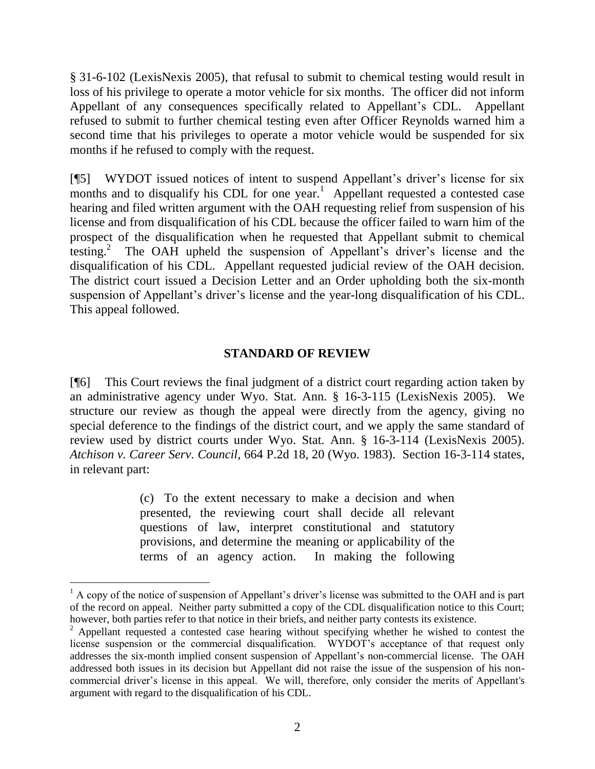§ 31-6-102 (LexisNexis 2005), that refusal to submit to chemical testing would result in loss of his privilege to operate a motor vehicle for six months. The officer did not inform Appellant of any consequences specifically related to Appellant's CDL. Appellant refused to submit to further chemical testing even after Officer Reynolds warned him a second time that his privileges to operate a motor vehicle would be suspended for six months if he refused to comply with the request.

[¶5] WYDOT issued notices of intent to suspend Appellant's driver's license for six months and to disqualify his CDL for one year.<sup>1</sup> Appellant requested a contested case hearing and filed written argument with the OAH requesting relief from suspension of his license and from disqualification of his CDL because the officer failed to warn him of the prospect of the disqualification when he requested that Appellant submit to chemical testing.<sup>2</sup> The OAH upheld the suspension of Appellant's driver's license and the disqualification of his CDL. Appellant requested judicial review of the OAH decision. The district court issued a Decision Letter and an Order upholding both the six-month suspension of Appellant's driver's license and the year-long disqualification of his CDL. This appeal followed.

## **STANDARD OF REVIEW**

[¶6] This Court reviews the final judgment of a district court regarding action taken by an administrative agency under Wyo. Stat. Ann. § 16-3-115 (LexisNexis 2005). We structure our review as though the appeal were directly from the agency, giving no special deference to the findings of the district court, and we apply the same standard of review used by district courts under Wyo. Stat. Ann. § 16-3-114 (LexisNexis 2005). *Atchison v. Career Serv. Council*, 664 P.2d 18, 20 (Wyo. 1983). Section 16-3-114 states, in relevant part:

> (c) To the extent necessary to make a decision and when presented, the reviewing court shall decide all relevant questions of law, interpret constitutional and statutory provisions, and determine the meaning or applicability of the terms of an agency action. In making the following

 $\overline{a}$ 

 $<sup>1</sup>$  A copy of the notice of suspension of Appellant's driver's license was submitted to the OAH and is part</sup> of the record on appeal. Neither party submitted a copy of the CDL disqualification notice to this Court; however, both parties refer to that notice in their briefs, and neither party contests its existence.

 $2$  Appellant requested a contested case hearing without specifying whether he wished to contest the license suspension or the commercial disqualification. WYDOT's acceptance of that request only addresses the six-month implied consent suspension of Appellant's non-commercial license. The OAH addressed both issues in its decision but Appellant did not raise the issue of the suspension of his noncommercial driver's license in this appeal. We will, therefore, only consider the merits of Appellant's argument with regard to the disqualification of his CDL.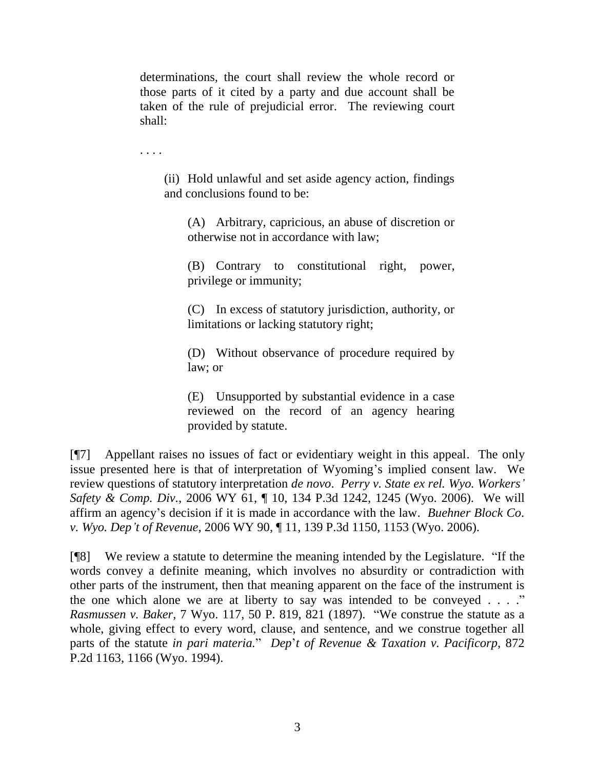determinations, the court shall review the whole record or those parts of it cited by a party and due account shall be taken of the rule of prejudicial error. The reviewing court shall:

. . . .

(ii) Hold unlawful and set aside agency action, findings and conclusions found to be:

(A) Arbitrary, capricious, an abuse of discretion or otherwise not in accordance with law;

(B) Contrary to constitutional right, power, privilege or immunity;

(C) In excess of statutory jurisdiction, authority, or limitations or lacking statutory right;

(D) Without observance of procedure required by law; or

(E) Unsupported by substantial evidence in a case reviewed on the record of an agency hearing provided by statute.

[¶7] Appellant raises no issues of fact or evidentiary weight in this appeal. The only issue presented here is that of interpretation of Wyoming's implied consent law. We review questions of statutory interpretation *de novo*. *Perry v. State ex rel. Wyo. Workers' Safety & Comp. Div.*, 2006 WY 61, ¶ 10, 134 P.3d 1242, 1245 (Wyo. 2006). We will affirm an agency's decision if it is made in accordance with the law. *Buehner Block Co. v. Wyo. Dep't of Revenue*, 2006 WY 90, ¶ 11, 139 P.3d 1150, 1153 (Wyo. 2006).

[¶8] We review a statute to determine the meaning intended by the Legislature. "If the words convey a definite meaning, which involves no absurdity or contradiction with other parts of the instrument, then that meaning apparent on the face of the instrument is the one which alone we are at liberty to say was intended to be conveyed  $\dots$ ." *Rasmussen v. Baker*, 7 Wyo. 117, 50 P. 819, 821 (1897). "We construe the statute as a whole, giving effect to every word, clause, and sentence, and we construe together all parts of the statute *in pari materia.*" *Dep*'*t of Revenue & Taxation v. Pacificorp*, 872 P.2d 1163, 1166 (Wyo. 1994).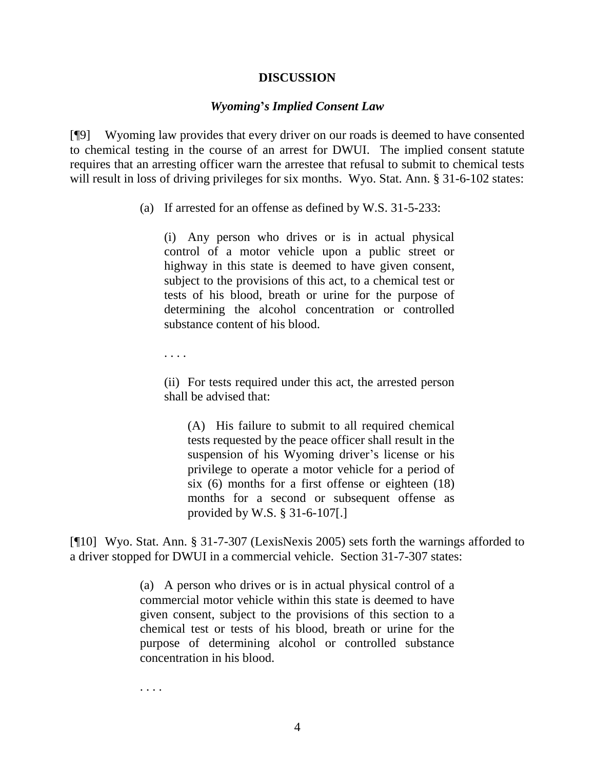#### **DISCUSSION**

#### *Wyoming***'***s Implied Consent Law*

[¶9] Wyoming law provides that every driver on our roads is deemed to have consented to chemical testing in the course of an arrest for DWUI. The implied consent statute requires that an arresting officer warn the arrestee that refusal to submit to chemical tests will result in loss of driving privileges for six months. Wyo. Stat. Ann. § 31-6-102 states:

(a) If arrested for an offense as defined by W.S. 31-5-233:

(i) Any person who drives or is in actual physical control of a motor vehicle upon a public street or highway in this state is deemed to have given consent, subject to the provisions of this act, to a chemical test or tests of his blood, breath or urine for the purpose of determining the alcohol concentration or controlled substance content of his blood.

. . . .

(ii) For tests required under this act, the arrested person shall be advised that:

(A) His failure to submit to all required chemical tests requested by the peace officer shall result in the suspension of his Wyoming driver's license or his privilege to operate a motor vehicle for a period of six (6) months for a first offense or eighteen (18) months for a second or subsequent offense as provided by W.S. § 31-6-107[.]

[¶10] Wyo. Stat. Ann. § 31-7-307 (LexisNexis 2005) sets forth the warnings afforded to a driver stopped for DWUI in a commercial vehicle. Section 31-7-307 states:

> (a) A person who drives or is in actual physical control of a commercial motor vehicle within this state is deemed to have given consent, subject to the provisions of this section to a chemical test or tests of his blood, breath or urine for the purpose of determining alcohol or controlled substance concentration in his blood.

. . . .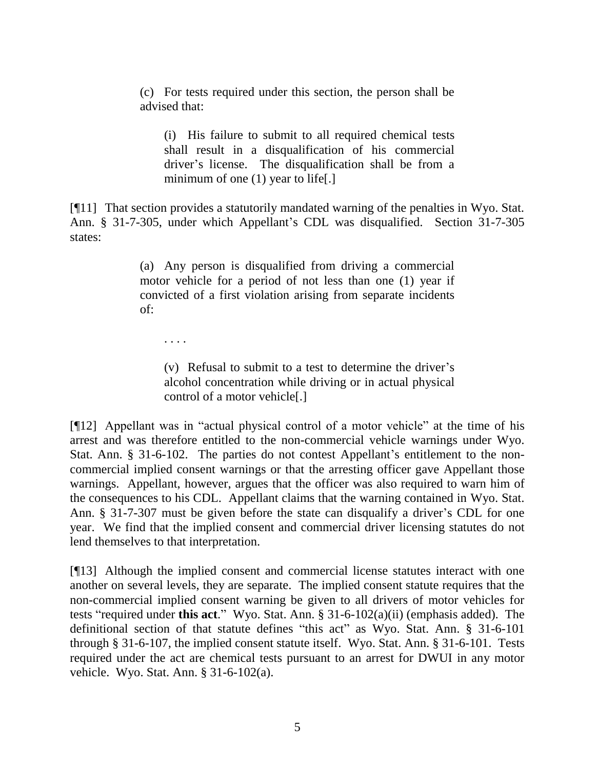(c) For tests required under this section, the person shall be advised that:

(i) His failure to submit to all required chemical tests shall result in a disqualification of his commercial driver's license. The disqualification shall be from a minimum of one (1) year to life[.]

[¶11] That section provides a statutorily mandated warning of the penalties in Wyo. Stat. Ann. § 31-7-305, under which Appellant's CDL was disqualified. Section 31-7-305 states:

> (a) Any person is disqualified from driving a commercial motor vehicle for a period of not less than one (1) year if convicted of a first violation arising from separate incidents of:

. . . .

(v) Refusal to submit to a test to determine the driver's alcohol concentration while driving or in actual physical control of a motor vehicle[.]

[¶12] Appellant was in "actual physical control of a motor vehicle" at the time of his arrest and was therefore entitled to the non-commercial vehicle warnings under Wyo. Stat. Ann. § 31-6-102. The parties do not contest Appellant's entitlement to the noncommercial implied consent warnings or that the arresting officer gave Appellant those warnings. Appellant, however, argues that the officer was also required to warn him of the consequences to his CDL. Appellant claims that the warning contained in Wyo. Stat. Ann. § 31-7-307 must be given before the state can disqualify a driver's CDL for one year. We find that the implied consent and commercial driver licensing statutes do not lend themselves to that interpretation.

[¶13] Although the implied consent and commercial license statutes interact with one another on several levels, they are separate. The implied consent statute requires that the non-commercial implied consent warning be given to all drivers of motor vehicles for tests "required under **this act**." Wyo. Stat. Ann. § 31-6-102(a)(ii) (emphasis added). The definitional section of that statute defines "this act" as Wyo. Stat. Ann. § 31-6-101 through § 31-6-107, the implied consent statute itself. Wyo. Stat. Ann. § 31-6-101. Tests required under the act are chemical tests pursuant to an arrest for DWUI in any motor vehicle. Wyo. Stat. Ann. § 31-6-102(a).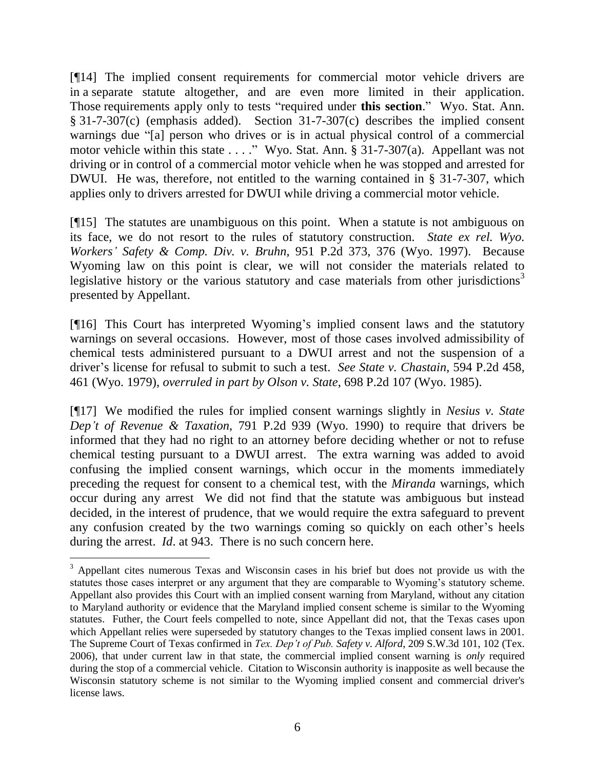[¶14] The implied consent requirements for commercial motor vehicle drivers are in a separate statute altogether, and are even more limited in their application. Those requirements apply only to tests "required under **this section**." Wyo. Stat. Ann. § 31-7-307(c) (emphasis added). Section 31-7-307(c) describes the implied consent warnings due "[a] person who drives or is in actual physical control of a commercial motor vehicle within this state . . . ." Wyo. Stat. Ann. § 31-7-307(a). Appellant was not driving or in control of a commercial motor vehicle when he was stopped and arrested for DWUI. He was, therefore, not entitled to the warning contained in § 31-7-307, which applies only to drivers arrested for DWUI while driving a commercial motor vehicle.

[¶15] The statutes are unambiguous on this point. When a statute is not ambiguous on its face, we do not resort to the rules of statutory construction. *State ex rel. Wyo. Workers' Safety & Comp. Div. v. Bruhn*, 951 P.2d 373, 376 (Wyo. 1997). Because Wyoming law on this point is clear, we will not consider the materials related to legislative history or the various statutory and case materials from other jurisdictions<sup>3</sup> presented by Appellant.

[¶16] This Court has interpreted Wyoming's implied consent laws and the statutory warnings on several occasions. However, most of those cases involved admissibility of chemical tests administered pursuant to a DWUI arrest and not the suspension of a driver's license for refusal to submit to such a test. *See State v. Chastain*, 594 P.2d 458, 461 (Wyo. 1979), *overruled in part by Olson v. State*, 698 P.2d 107 (Wyo. 1985).

[¶17] We modified the rules for implied consent warnings slightly in *Nesius v. State Dep't of Revenue & Taxation*, 791 P.2d 939 (Wyo. 1990) to require that drivers be informed that they had no right to an attorney before deciding whether or not to refuse chemical testing pursuant to a DWUI arrest. The extra warning was added to avoid confusing the implied consent warnings, which occur in the moments immediately preceding the request for consent to a chemical test, with the *Miranda* warnings, which occur during any arrest We did not find that the statute was ambiguous but instead decided, in the interest of prudence, that we would require the extra safeguard to prevent any confusion created by the two warnings coming so quickly on each other's heels during the arrest. *Id*. at 943. There is no such concern here.

 $\overline{a}$ 

<sup>&</sup>lt;sup>3</sup> Appellant cites numerous Texas and Wisconsin cases in his brief but does not provide us with the statutes those cases interpret or any argument that they are comparable to Wyoming's statutory scheme. Appellant also provides this Court with an implied consent warning from Maryland, without any citation to Maryland authority or evidence that the Maryland implied consent scheme is similar to the Wyoming statutes. Futher, the Court feels compelled to note, since Appellant did not, that the Texas cases upon which Appellant relies were superseded by statutory changes to the Texas implied consent laws in 2001. The Supreme Court of Texas confirmed in *Tex. Dep't of Pub. Safety v. Alford*, 209 S.W.3d 101, 102 (Tex. 2006), that under current law in that state, the commercial implied consent warning is *only* required during the stop of a commercial vehicle. Citation to Wisconsin authority is inapposite as well because the Wisconsin statutory scheme is not similar to the Wyoming implied consent and commercial driver's license laws.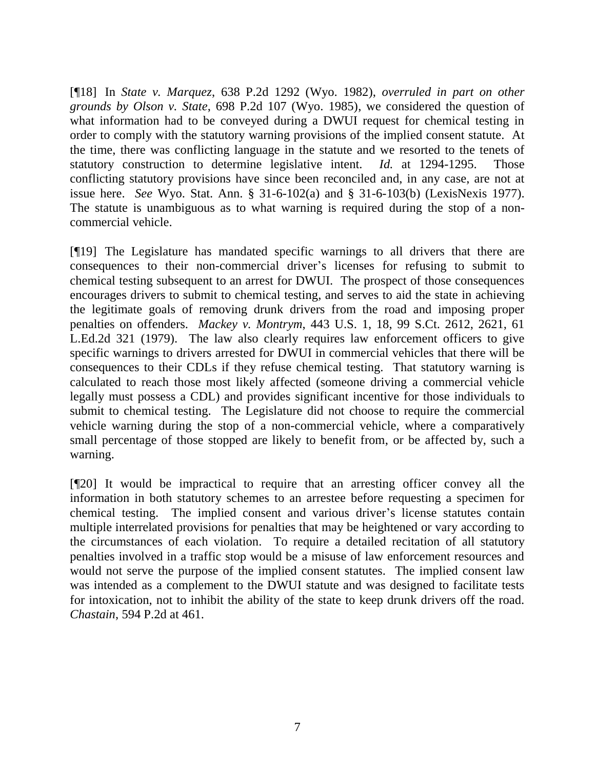[¶18] In *State v. Marquez*, 638 P.2d 1292 (Wyo. 1982), *overruled in part on other grounds by Olson v. State*, 698 P.2d 107 (Wyo. 1985), we considered the question of what information had to be conveyed during a DWUI request for chemical testing in order to comply with the statutory warning provisions of the implied consent statute. At the time, there was conflicting language in the statute and we resorted to the tenets of statutory construction to determine legislative intent. *Id.* at 1294-1295. Those conflicting statutory provisions have since been reconciled and, in any case, are not at issue here. *See* Wyo. Stat. Ann. § 31-6-102(a) and § 31-6-103(b) (LexisNexis 1977). The statute is unambiguous as to what warning is required during the stop of a noncommercial vehicle.

[¶19] The Legislature has mandated specific warnings to all drivers that there are consequences to their non-commercial driver's licenses for refusing to submit to chemical testing subsequent to an arrest for DWUI. The prospect of those consequences encourages drivers to submit to chemical testing, and serves to aid the state in achieving the legitimate goals of removing drunk drivers from the road and imposing proper penalties on offenders. *Mackey v. Montrym*, 443 U.S. 1, 18, 99 S.Ct. 2612, 2621, 61 L.Ed.2d 321 (1979). The law also clearly requires law enforcement officers to give specific warnings to drivers arrested for DWUI in commercial vehicles that there will be consequences to their CDLs if they refuse chemical testing. That statutory warning is calculated to reach those most likely affected (someone driving a commercial vehicle legally must possess a CDL) and provides significant incentive for those individuals to submit to chemical testing. The Legislature did not choose to require the commercial vehicle warning during the stop of a non-commercial vehicle, where a comparatively small percentage of those stopped are likely to benefit from, or be affected by, such a warning.

[¶20] It would be impractical to require that an arresting officer convey all the information in both statutory schemes to an arrestee before requesting a specimen for chemical testing. The implied consent and various driver's license statutes contain multiple interrelated provisions for penalties that may be heightened or vary according to the circumstances of each violation. To require a detailed recitation of all statutory penalties involved in a traffic stop would be a misuse of law enforcement resources and would not serve the purpose of the implied consent statutes. The implied consent law was intended as a complement to the DWUI statute and was designed to facilitate tests for intoxication, not to inhibit the ability of the state to keep drunk drivers off the road. *Chastain*, 594 P.2d at 461.